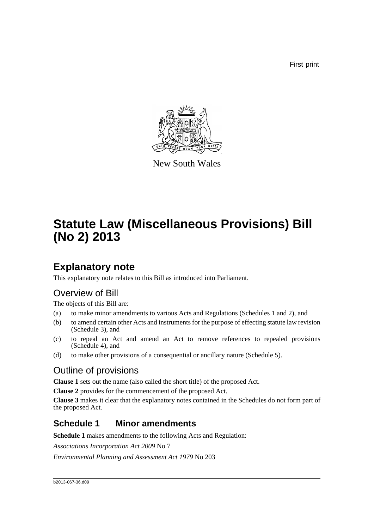First print



New South Wales

# **Statute Law (Miscellaneous Provisions) Bill (No 2) 2013**

## **Explanatory note**

This explanatory note relates to this Bill as introduced into Parliament.

## Overview of Bill

The objects of this Bill are:

- (a) to make minor amendments to various Acts and Regulations (Schedules 1 and 2), and
- (b) to amend certain other Acts and instruments for the purpose of effecting statute law revision (Schedule 3), and
- (c) to repeal an Act and amend an Act to remove references to repealed provisions (Schedule 4), and
- (d) to make other provisions of a consequential or ancillary nature (Schedule 5).

## Outline of provisions

**Clause 1** sets out the name (also called the short title) of the proposed Act.

**Clause 2** provides for the commencement of the proposed Act.

**Clause 3** makes it clear that the explanatory notes contained in the Schedules do not form part of the proposed Act.

### **Schedule 1 Minor amendments**

**Schedule 1** makes amendments to the following Acts and Regulation:

*Associations Incorporation Act 2009* No 7

*Environmental Planning and Assessment Act 1979* No 203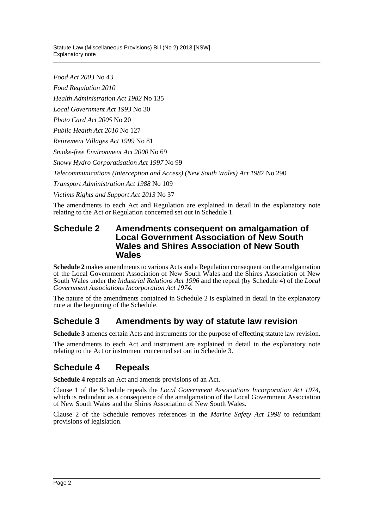Statute Law (Miscellaneous Provisions) Bill (No 2) 2013 [NSW] Explanatory note

*Food Act 2003* No 43

*Food Regulation 2010*

*Health Administration Act 1982* No 135

*Local Government Act 1993* No 30

*Photo Card Act 2005* No 20

*Public Health Act 2010* No 127

*Retirement Villages Act 1999* No 81

*Smoke-free Environment Act 2000* No 69

*Snowy Hydro Corporatisation Act 1997* No 99

*Telecommunications (Interception and Access) (New South Wales) Act 1987* No 290

*Transport Administration Act 1988* No 109

*Victims Rights and Support Act 2013* No 37

The amendments to each Act and Regulation are explained in detail in the explanatory note relating to the Act or Regulation concerned set out in Schedule 1.

### **Schedule 2 Amendments consequent on amalgamation of Local Government Association of New South Wales and Shires Association of New South Wales**

**Schedule 2** makes amendments to various Acts and a Regulation consequent on the amalgamation of the Local Government Association of New South Wales and the Shires Association of New South Wales under the *Industrial Relations Act 1996* and the repeal (by Schedule 4) of the *Local Government Associations Incorporation Act 1974*.

The nature of the amendments contained in Schedule 2 is explained in detail in the explanatory note at the beginning of the Schedule.

## **Schedule 3 Amendments by way of statute law revision**

**Schedule 3** amends certain Acts and instruments for the purpose of effecting statute law revision.

The amendments to each Act and instrument are explained in detail in the explanatory note relating to the Act or instrument concerned set out in Schedule 3.

## **Schedule 4 Repeals**

**Schedule 4** repeals an Act and amends provisions of an Act.

Clause 1 of the Schedule repeals the *Local Government Associations Incorporation Act 1974*, which is redundant as a consequence of the amalgamation of the Local Government Association of New South Wales and the Shires Association of New South Wales.

Clause 2 of the Schedule removes references in the *Marine Safety Act 1998* to redundant provisions of legislation.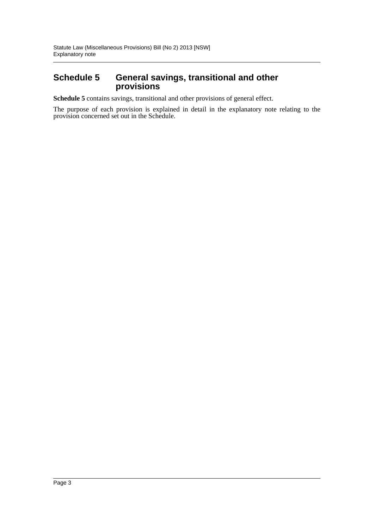### **Schedule 5 General savings, transitional and other provisions**

**Schedule 5** contains savings, transitional and other provisions of general effect.

The purpose of each provision is explained in detail in the explanatory note relating to the provision concerned set out in the Schedule.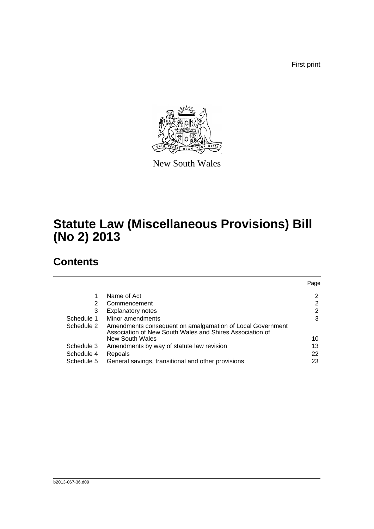First print



New South Wales

## **Statute Law (Miscellaneous Provisions) Bill (No 2) 2013**

## **Contents**

|                                                                                                                       | Page |
|-----------------------------------------------------------------------------------------------------------------------|------|
| Name of Act                                                                                                           | 2    |
| Commencement                                                                                                          | 2    |
| <b>Explanatory notes</b>                                                                                              | 2    |
| Minor amendments                                                                                                      | 3    |
| Amendments consequent on amalgamation of Local Government<br>Association of New South Wales and Shires Association of |      |
| New South Wales                                                                                                       | 10   |
| Amendments by way of statute law revision                                                                             | 13   |
| Repeals                                                                                                               | 22   |
| General savings, transitional and other provisions                                                                    | 23   |
|                                                                                                                       |      |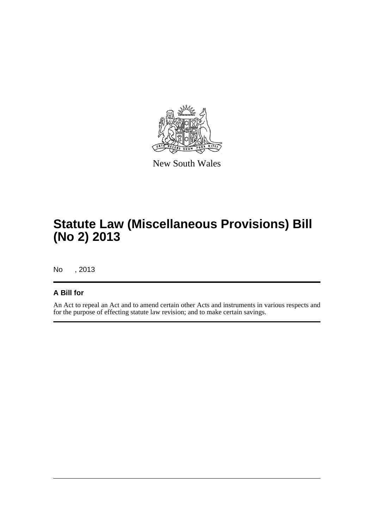

New South Wales

## **Statute Law (Miscellaneous Provisions) Bill (No 2) 2013**

No , 2013

### **A Bill for**

An Act to repeal an Act and to amend certain other Acts and instruments in various respects and for the purpose of effecting statute law revision; and to make certain savings.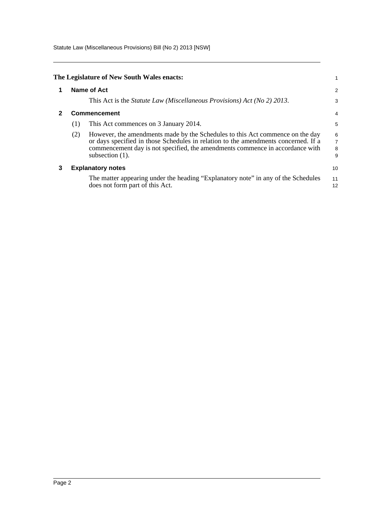Statute Law (Miscellaneous Provisions) Bill (No 2) 2013 [NSW]

<span id="page-5-2"></span><span id="page-5-1"></span><span id="page-5-0"></span>

|   |     | The Legislature of New South Wales enacts:                                                                                                                                                                                                                                 |                                                 |
|---|-----|----------------------------------------------------------------------------------------------------------------------------------------------------------------------------------------------------------------------------------------------------------------------------|-------------------------------------------------|
|   |     | Name of Act                                                                                                                                                                                                                                                                | $\overline{a}$                                  |
|   |     | This Act is the <i>Statute Law</i> ( <i>Miscellaneous Provisions</i> ) Act ( <i>No</i> 2) 2013.                                                                                                                                                                            | 3                                               |
| 2 |     | <b>Commencement</b>                                                                                                                                                                                                                                                        | 4                                               |
|   | (1) | This Act commences on 3 January 2014.                                                                                                                                                                                                                                      | 5                                               |
|   | (2) | However, the amendments made by the Schedules to this Act commence on the day<br>or days specified in those Schedules in relation to the amendments concerned. If a<br>commencement day is not specified, the amendments commence in accordance with<br>subsection $(1)$ . | 6<br>$\begin{array}{c} 7 \\ 8 \end{array}$<br>9 |
| 3 |     | <b>Explanatory notes</b>                                                                                                                                                                                                                                                   | 10                                              |
|   |     | The matter appearing under the heading "Explanatory note" in any of the Schedules<br>does not form part of this Act.                                                                                                                                                       | 11<br>12                                        |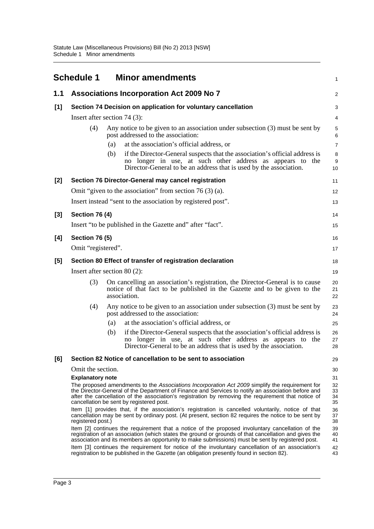<span id="page-6-0"></span>

|       | <b>Schedule 1</b>               |     | <b>Minor amendments</b>                                                                                                                                                                                                                                                                                                                                  | $\mathbf{1}$                |
|-------|---------------------------------|-----|----------------------------------------------------------------------------------------------------------------------------------------------------------------------------------------------------------------------------------------------------------------------------------------------------------------------------------------------------------|-----------------------------|
| 1.1   |                                 |     | <b>Associations Incorporation Act 2009 No 7</b>                                                                                                                                                                                                                                                                                                          | 2                           |
| $[1]$ |                                 |     | Section 74 Decision on application for voluntary cancellation                                                                                                                                                                                                                                                                                            | 3                           |
|       | Insert after section 74 $(3)$ : |     |                                                                                                                                                                                                                                                                                                                                                          | 4                           |
|       | (4)                             |     | Any notice to be given to an association under subsection $(3)$ must be sent by<br>post addressed to the association:                                                                                                                                                                                                                                    | $\mathbf 5$<br>$\,6\,$      |
|       |                                 | (a) | at the association's official address, or                                                                                                                                                                                                                                                                                                                | $\overline{7}$              |
|       |                                 | (b) | if the Director-General suspects that the association's official address is<br>no longer in use, at such other address as appears to the<br>Director-General to be an address that is used by the association.                                                                                                                                           | 8<br>$\boldsymbol{9}$<br>10 |
| $[2]$ |                                 |     | Section 76 Director-General may cancel registration                                                                                                                                                                                                                                                                                                      | 11                          |
|       |                                 |     | Omit "given to the association" from section 76 $(3)$ (a).                                                                                                                                                                                                                                                                                               | 12                          |
|       |                                 |     | Insert instead "sent to the association by registered post".                                                                                                                                                                                                                                                                                             | 13                          |
| $[3]$ | <b>Section 76 (4)</b>           |     |                                                                                                                                                                                                                                                                                                                                                          | 14                          |
|       |                                 |     | Insert "to be published in the Gazette and" after "fact".                                                                                                                                                                                                                                                                                                | 15                          |
| [4]   | <b>Section 76 (5)</b>           |     |                                                                                                                                                                                                                                                                                                                                                          | 16                          |
|       | Omit "registered".              |     |                                                                                                                                                                                                                                                                                                                                                          | 17                          |
| [5]   |                                 |     | Section 80 Effect of transfer of registration declaration                                                                                                                                                                                                                                                                                                | 18                          |
|       | Insert after section $80(2)$ :  |     |                                                                                                                                                                                                                                                                                                                                                          | 19                          |
|       | (3)                             |     | On cancelling an association's registration, the Director-General is to cause<br>notice of that fact to be published in the Gazette and to be given to the<br>association.                                                                                                                                                                               | 20<br>21<br>22              |
|       | (4)                             |     | Any notice to be given to an association under subsection $(3)$ must be sent by<br>post addressed to the association:                                                                                                                                                                                                                                    | 23<br>24                    |
|       |                                 | (a) | at the association's official address, or                                                                                                                                                                                                                                                                                                                | 25                          |
|       |                                 | (b) | if the Director-General suspects that the association's official address is<br>longer in use, at such other address as appears to<br>the<br>no<br>Director-General to be an address that is used by the association.                                                                                                                                     | 26<br>27<br>28              |
| [6]   |                                 |     | Section 82 Notice of cancellation to be sent to association                                                                                                                                                                                                                                                                                              | 29                          |
|       | Omit the section.               |     |                                                                                                                                                                                                                                                                                                                                                          | 30                          |
|       | <b>Explanatory note</b>         |     |                                                                                                                                                                                                                                                                                                                                                          | 31                          |
|       |                                 |     | The proposed amendments to the Associations Incorporation Act 2009 simplify the requirement for<br>the Director-General of the Department of Finance and Services to notify an association before and<br>after the cancellation of the association's registration by removing the requirement that notice of<br>cancellation be sent by registered post. | 32<br>33<br>34<br>35        |
|       | registered post.)               |     | Item [1] provides that, if the association's registration is cancelled voluntarily, notice of that<br>cancellation may be sent by ordinary post. (At present, section 82 requires the notice to be sent by                                                                                                                                               | 36<br>37<br>38              |
|       |                                 |     | Item [2] continues the requirement that a notice of the proposed involuntary cancellation of the<br>registration of an association (which states the ground or grounds of that cancellation and gives the<br>association and its members an opportunity to make submissions) must be sent by registered post.                                            | 39<br>40<br>41              |
|       |                                 |     | Item [3] continues the requirement for notice of the involuntary cancellation of an association's<br>registration to be published in the Gazette (an obligation presently found in section 82).                                                                                                                                                          | 42<br>43                    |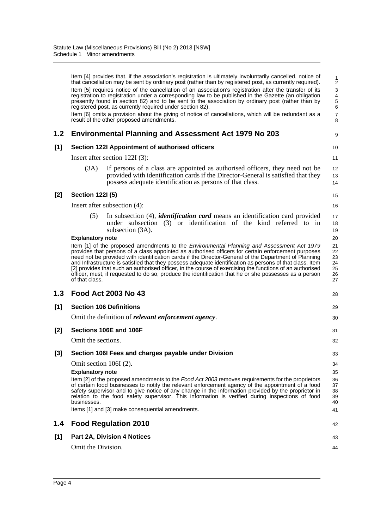|       |                                                                    | Item [4] provides that, if the association's registration is ultimately involuntarily cancelled, notice of<br>that cancellation may be sent by ordinary post (rather than by registered post, as currently required).                                                                                                                                                                                                                                                                                                                                                                                                                    | 1<br>$\frac{1}{2}$                           |
|-------|--------------------------------------------------------------------|------------------------------------------------------------------------------------------------------------------------------------------------------------------------------------------------------------------------------------------------------------------------------------------------------------------------------------------------------------------------------------------------------------------------------------------------------------------------------------------------------------------------------------------------------------------------------------------------------------------------------------------|----------------------------------------------|
|       |                                                                    | Item [5] requires notice of the cancellation of an association's registration after the transfer of its<br>registration to registration under a corresponding law to be published in the Gazette (an obligation<br>presently found in section 82) and to be sent to the association by ordinary post (rather than by<br>registered post, as currently required under section 82).                                                                                                                                                                                                                                                        | 3<br>$\overline{\mathcal{L}}$<br>5<br>6      |
|       |                                                                    | Item [6] omits a provision about the giving of notice of cancellations, which will be redundant as a<br>result of the other proposed amendments.                                                                                                                                                                                                                                                                                                                                                                                                                                                                                         | $\overline{7}$<br>8                          |
| 1.2   |                                                                    | <b>Environmental Planning and Assessment Act 1979 No 203</b>                                                                                                                                                                                                                                                                                                                                                                                                                                                                                                                                                                             | 9                                            |
| [1]   |                                                                    | Section 122I Appointment of authorised officers                                                                                                                                                                                                                                                                                                                                                                                                                                                                                                                                                                                          | 10                                           |
|       |                                                                    | Insert after section 122I (3):                                                                                                                                                                                                                                                                                                                                                                                                                                                                                                                                                                                                           | 11                                           |
|       | (3A)                                                               | If persons of a class are appointed as authorised officers, they need not be<br>provided with identification cards if the Director-General is satisfied that they<br>possess adequate identification as persons of that class.                                                                                                                                                                                                                                                                                                                                                                                                           | 12<br>13<br>14                               |
| [2]   | <b>Section 1221 (5)</b>                                            |                                                                                                                                                                                                                                                                                                                                                                                                                                                                                                                                                                                                                                          | 15                                           |
|       |                                                                    | Insert after subsection (4):                                                                                                                                                                                                                                                                                                                                                                                                                                                                                                                                                                                                             | 16                                           |
|       | (5)                                                                | In subsection (4), <i>identification card</i> means an identification card provided<br>under subsection (3) or identification of the kind referred to in<br>subsection (3A).                                                                                                                                                                                                                                                                                                                                                                                                                                                             | 17<br>18<br>19                               |
|       | <b>Explanatory note</b><br>of that class.                          | Item [1] of the proposed amendments to the Environmental Planning and Assessment Act 1979<br>provides that persons of a class appointed as authorised officers for certain enforcement purposes<br>need not be provided with identification cards if the Director-General of the Department of Planning<br>and Infrastructure is satisfied that they possess adequate identification as persons of that class. Item<br>[2] provides that such an authorised officer, in the course of exercising the functions of an authorised<br>officer, must, if requested to do so, produce the identification that he or she possesses as a person | 20<br>21<br>22<br>23<br>24<br>25<br>26<br>27 |
| 1.3   |                                                                    | <b>Food Act 2003 No 43</b>                                                                                                                                                                                                                                                                                                                                                                                                                                                                                                                                                                                                               | 28                                           |
| [1]   |                                                                    | <b>Section 106 Definitions</b>                                                                                                                                                                                                                                                                                                                                                                                                                                                                                                                                                                                                           | 29                                           |
|       |                                                                    | Omit the definition of <i>relevant enforcement agency</i> .                                                                                                                                                                                                                                                                                                                                                                                                                                                                                                                                                                              | 30                                           |
| [2]   |                                                                    | Sections 106E and 106F                                                                                                                                                                                                                                                                                                                                                                                                                                                                                                                                                                                                                   | 31                                           |
|       | Omit the sections.                                                 |                                                                                                                                                                                                                                                                                                                                                                                                                                                                                                                                                                                                                                          | 32                                           |
| $[3]$ |                                                                    | Section 106I Fees and charges payable under Division                                                                                                                                                                                                                                                                                                                                                                                                                                                                                                                                                                                     | 33                                           |
|       | Omit section $106I(2)$ .<br><b>Explanatory note</b><br>businesses. | Item [2] of the proposed amendments to the Food Act 2003 removes requirements for the proprietors<br>of certain food businesses to notify the relevant enforcement agency of the appointment of a food<br>safety supervisor and to give notice of any change in the information provided by the proprietor in<br>relation to the food safety supervisor. This information is verified during inspections of food<br>Items [1] and [3] make consequential amendments.                                                                                                                                                                     | 34<br>35<br>36<br>37<br>38<br>39<br>40<br>41 |
| 1.4   |                                                                    | <b>Food Regulation 2010</b>                                                                                                                                                                                                                                                                                                                                                                                                                                                                                                                                                                                                              | 42                                           |
| [1]   |                                                                    | <b>Part 2A, Division 4 Notices</b>                                                                                                                                                                                                                                                                                                                                                                                                                                                                                                                                                                                                       | 43                                           |
|       | Omit the Division.                                                 |                                                                                                                                                                                                                                                                                                                                                                                                                                                                                                                                                                                                                                          | 44                                           |
|       |                                                                    |                                                                                                                                                                                                                                                                                                                                                                                                                                                                                                                                                                                                                                          |                                              |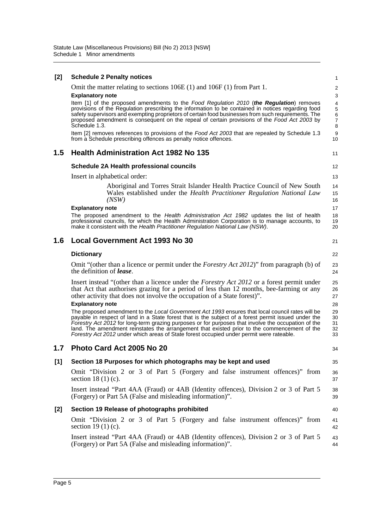| [2]   | <b>Schedule 2 Penalty notices</b>                                                                                                                                                                         | 1              |
|-------|-----------------------------------------------------------------------------------------------------------------------------------------------------------------------------------------------------------|----------------|
|       | Omit the matter relating to sections $106E(1)$ and $106F(1)$ from Part 1.                                                                                                                                 | $\overline{c}$ |
|       | <b>Explanatory note</b>                                                                                                                                                                                   | 3              |
|       | Item [1] of the proposed amendments to the Food Regulation 2010 (the Regulation) removes                                                                                                                  | 4              |
|       | provisions of the Regulation prescribing the information to be contained in notices regarding food<br>safety supervisors and exempting proprietors of certain food businesses from such requirements. The | 5<br>6         |
|       | proposed amendment is consequent on the repeal of certain provisions of the Food Act 2003 by                                                                                                              | $\overline{7}$ |
|       | Schedule 1.3.                                                                                                                                                                                             | 8              |
|       | Item [2] removes references to provisions of the Food Act 2003 that are repealed by Schedule 1.3<br>from a Schedule prescribing offences as penalty notice offences.                                      | 9<br>10        |
| 1.5   | <b>Health Administration Act 1982 No 135</b>                                                                                                                                                              | 11             |
|       | <b>Schedule 2A Health professional councils</b>                                                                                                                                                           | 12             |
|       | Insert in alphabetical order:                                                                                                                                                                             | 13             |
|       | Aboriginal and Torres Strait Islander Health Practice Council of New South<br>Wales established under the <i>Health Practitioner Regulation National Law</i>                                              | 14<br>15       |
|       | (NSW)                                                                                                                                                                                                     | 16             |
|       | <b>Explanatory note</b>                                                                                                                                                                                   | 17             |
|       | The proposed amendment to the Health Administration Act 1982 updates the list of health                                                                                                                   | 18             |
|       | professional councils, for which the Health Administration Corporation is to manage accounts, to<br>make it consistent with the Health Practitioner Regulation National Law (NSW).                        | 19<br>20       |
| 1.6   | <b>Local Government Act 1993 No 30</b>                                                                                                                                                                    | 21             |
|       | <b>Dictionary</b>                                                                                                                                                                                         | 22             |
|       | Omit "(other than a licence or permit under the <i>Forestry Act 2012</i> )" from paragraph (b) of<br>the definition of <i>lease</i> .                                                                     | 23<br>24       |
|       | Insert instead "(other than a licence under the <i>Forestry Act 2012</i> or a forest permit under                                                                                                         | 25             |
|       | that Act that authorises grazing for a period of less than 12 months, bee-farming or any                                                                                                                  | 26             |
|       | other activity that does not involve the occupation of a State forest)".                                                                                                                                  | 27             |
|       | <b>Explanatory note</b>                                                                                                                                                                                   | 28             |
|       | The proposed amendment to the Local Government Act 1993 ensures that local council rates will be<br>payable in respect of land in a State forest that is the subject of a forest permit issued under the  | 29             |
|       | Forestry Act 2012 for long-term grazing purposes or for purposes that involve the occupation of the                                                                                                       | 30<br>31       |
|       | land. The amendment reinstates the arrangement that existed prior to the commencement of the                                                                                                              | 32             |
|       | Forestry Act 2012 under which areas of State forest occupied under permit were rateable.                                                                                                                  | 33             |
| 1.7   | Photo Card Act 2005 No 20                                                                                                                                                                                 | 34             |
| $[1]$ | Section 18 Purposes for which photographs may be kept and used                                                                                                                                            | 35             |
|       | Omit "Division 2 or 3 of Part 5 (Forgery and false instrument offences)" from<br>section $18(1)(c)$ .                                                                                                     | 36<br>37       |
|       | Insert instead "Part 4AA (Fraud) or 4AB (Identity offences), Division 2 or 3 of Part 5<br>(Forgery) or Part 5A (False and misleading information)".                                                       | 38<br>39       |
| [2]   | Section 19 Release of photographs prohibited                                                                                                                                                              | 40             |
|       | Omit "Division 2 or 3 of Part 5 (Forgery and false instrument offences)" from<br>section 19 $(1)$ $(c)$ .                                                                                                 | 41<br>42       |
|       | Insert instead "Part 4AA (Fraud) or 4AB (Identity offences), Division 2 or 3 of Part 5<br>(Forgery) or Part 5A (False and misleading information)".                                                       | 43<br>44       |
|       |                                                                                                                                                                                                           |                |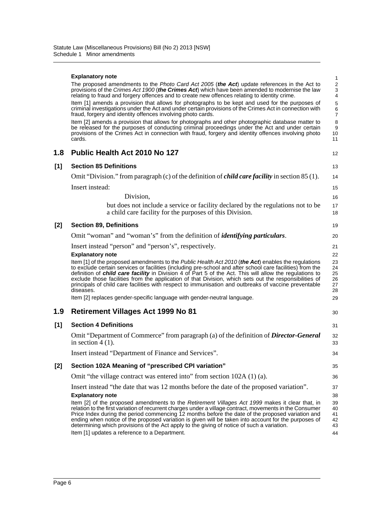|     | <b>Explanatory note</b>                                                                                                                                                                                                                                                                                                                                                                                                                                                                                                                                                                           | $\mathbf{1}$                                 |
|-----|---------------------------------------------------------------------------------------------------------------------------------------------------------------------------------------------------------------------------------------------------------------------------------------------------------------------------------------------------------------------------------------------------------------------------------------------------------------------------------------------------------------------------------------------------------------------------------------------------|----------------------------------------------|
|     | The proposed amendments to the Photo Card Act 2005 (the Act) update references in the Act to<br>provisions of the Crimes Act 1900 (the Crimes Act) which have been amended to modernise the law<br>relating to fraud and forgery offences and to create new offences relating to identity crime.                                                                                                                                                                                                                                                                                                  | $\sqrt{2}$<br>$\ensuremath{\mathsf{3}}$<br>4 |
|     | Item [1] amends a provision that allows for photographs to be kept and used for the purposes of<br>criminal investigations under the Act and under certain provisions of the Crimes Act in connection with<br>fraud, forgery and identity offences involving photo cards.                                                                                                                                                                                                                                                                                                                         | 5<br>6<br>7                                  |
|     | Item [2] amends a provision that allows for photographs and other photographic database matter to<br>be released for the purposes of conducting criminal proceedings under the Act and under certain<br>provisions of the Crimes Act in connection with fraud, forgery and identity offences involving photo<br>cards.                                                                                                                                                                                                                                                                            | 8<br>9<br>10<br>11                           |
| 1.8 | Public Health Act 2010 No 127                                                                                                                                                                                                                                                                                                                                                                                                                                                                                                                                                                     | 12                                           |
| [1] | <b>Section 85 Definitions</b>                                                                                                                                                                                                                                                                                                                                                                                                                                                                                                                                                                     | 13                                           |
|     | Omit "Division." from paragraph (c) of the definition of <i>child care facility</i> in section 85 (1).                                                                                                                                                                                                                                                                                                                                                                                                                                                                                            | 14                                           |
|     | Insert instead:                                                                                                                                                                                                                                                                                                                                                                                                                                                                                                                                                                                   | 15                                           |
|     | Division,                                                                                                                                                                                                                                                                                                                                                                                                                                                                                                                                                                                         | 16                                           |
|     | but does not include a service or facility declared by the regulations not to be<br>a child care facility for the purposes of this Division.                                                                                                                                                                                                                                                                                                                                                                                                                                                      | 17<br>18                                     |
| [2] | <b>Section 89, Definitions</b>                                                                                                                                                                                                                                                                                                                                                                                                                                                                                                                                                                    | 19                                           |
|     | Omit "woman" and "woman's" from the definition of <i>identifying particulars</i> .                                                                                                                                                                                                                                                                                                                                                                                                                                                                                                                | 20                                           |
|     | Insert instead "person" and "person's", respectively.<br><b>Explanatory note</b>                                                                                                                                                                                                                                                                                                                                                                                                                                                                                                                  | 21<br>22                                     |
|     | Item [1] of the proposed amendments to the Public Health Act 2010 (the Act) enables the regulations<br>to exclude certain services or facilities (including pre-school and after school care facilities) from the<br>definition of <i>child care facility</i> in Division 4 of Part 5 of the Act. This will allow the regulations to<br>exclude those facilities from the application of that Division, which sets out the responsibilities of<br>principals of child care facilities with respect to immunisation and outbreaks of vaccine preventable<br>diseases.                              | 23<br>24<br>25<br>26<br>27<br>28             |
|     | Item [2] replaces gender-specific language with gender-neutral language.                                                                                                                                                                                                                                                                                                                                                                                                                                                                                                                          | 29                                           |
| 1.9 | <b>Retirement Villages Act 1999 No 81</b>                                                                                                                                                                                                                                                                                                                                                                                                                                                                                                                                                         | 30                                           |
| [1] | <b>Section 4 Definitions</b>                                                                                                                                                                                                                                                                                                                                                                                                                                                                                                                                                                      | 31                                           |
|     | Omit "Department of Commerce" from paragraph (a) of the definition of <i>Director-General</i><br>in section $4(1)$ .                                                                                                                                                                                                                                                                                                                                                                                                                                                                              | 32<br>33                                     |
|     | Insert instead "Department of Finance and Services"                                                                                                                                                                                                                                                                                                                                                                                                                                                                                                                                               | 34                                           |
| [2] | Section 102A Meaning of "prescribed CPI variation"                                                                                                                                                                                                                                                                                                                                                                                                                                                                                                                                                | 35                                           |
|     | Omit "the village contract was entered into" from section 102A (1) (a).                                                                                                                                                                                                                                                                                                                                                                                                                                                                                                                           | 36                                           |
|     | Insert instead "the date that was 12 months before the date of the proposed variation".                                                                                                                                                                                                                                                                                                                                                                                                                                                                                                           | 37                                           |
|     | <b>Explanatory note</b><br>Item [2] of the proposed amendments to the Retirement Villages Act 1999 makes it clear that, in<br>relation to the first variation of recurrent charges under a village contract, movements in the Consumer<br>Price Index during the period commencing 12 months before the date of the proposed variation and<br>ending when notice of the proposed variation is given will be taken into account for the purposes of<br>determining which provisions of the Act apply to the giving of notice of such a variation.<br>Item [1] updates a reference to a Department. | 38<br>39<br>40<br>41<br>42<br>43<br>44       |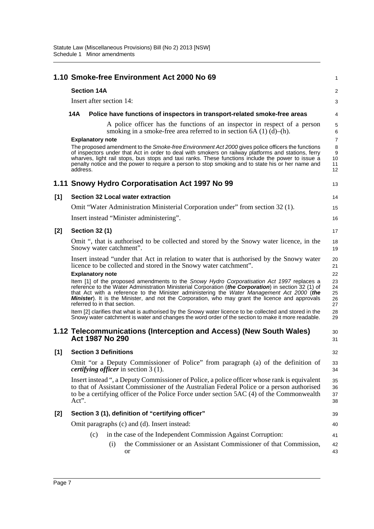|     | 1.10 Smoke-free Environment Act 2000 No 69                                                                                                                                                                                                                                                                                                                                                                                                                             | 1                                          |
|-----|------------------------------------------------------------------------------------------------------------------------------------------------------------------------------------------------------------------------------------------------------------------------------------------------------------------------------------------------------------------------------------------------------------------------------------------------------------------------|--------------------------------------------|
|     | <b>Section 14A</b>                                                                                                                                                                                                                                                                                                                                                                                                                                                     | $\overline{a}$                             |
|     | Insert after section 14:                                                                                                                                                                                                                                                                                                                                                                                                                                               | 3                                          |
|     | <b>14A</b><br>Police have functions of inspectors in transport-related smoke-free areas                                                                                                                                                                                                                                                                                                                                                                                | 4                                          |
|     | A police officer has the functions of an inspector in respect of a person<br>smoking in a smoke-free area referred to in section $6A(1)(d)$ –(h).                                                                                                                                                                                                                                                                                                                      | 5<br>6                                     |
|     | <b>Explanatory note</b><br>The proposed amendment to the Smoke-free Environment Act 2000 gives police officers the functions<br>of inspectors under that Act in order to deal with smokers on railway platforms and stations, ferry<br>wharves, light rail stops, bus stops and taxi ranks. These functions include the power to issue a<br>penalty notice and the power to require a person to stop smoking and to state his or her name and<br>address.              | $\overline{7}$<br>8<br>9<br>10<br>11<br>12 |
|     | 1.11 Snowy Hydro Corporatisation Act 1997 No 99                                                                                                                                                                                                                                                                                                                                                                                                                        | 13                                         |
| [1] | <b>Section 32 Local water extraction</b>                                                                                                                                                                                                                                                                                                                                                                                                                               | 14                                         |
|     | Omit "Water Administration Ministerial Corporation under" from section 32 (1).                                                                                                                                                                                                                                                                                                                                                                                         | 15                                         |
|     | Insert instead "Minister administering".                                                                                                                                                                                                                                                                                                                                                                                                                               | 16                                         |
| [2] | <b>Section 32 (1)</b>                                                                                                                                                                                                                                                                                                                                                                                                                                                  | 17                                         |
|     | Omit ", that is authorised to be collected and stored by the Snowy water licence, in the<br>Snowy water catchment".                                                                                                                                                                                                                                                                                                                                                    | 18<br>19                                   |
|     | Insert instead "under that Act in relation to water that is authorised by the Snowy water<br>licence to be collected and stored in the Snowy water catchment".                                                                                                                                                                                                                                                                                                         | 20<br>21                                   |
|     | <b>Explanatory note</b><br>Item [1] of the proposed amendments to the Snowy Hydro Corporatisation Act 1997 replaces a<br>reference to the Water Administration Ministerial Corporation (the Corporation) in section 32 (1) of<br>that Act with a reference to the Minister administering the Water Management Act 2000 (the<br><b>Minister</b> ). It is the Minister, and not the Corporation, who may grant the licence and approvals<br>referred to in that section. | 22<br>23<br>24<br>25<br>26<br>27           |
|     | Item [2] clarifies that what is authorised by the Snowy water licence to be collected and stored in the<br>Snowy water catchment is water and changes the word order of the section to make it more readable.                                                                                                                                                                                                                                                          | 28<br>29                                   |
|     | 1.12 Telecommunications (Interception and Access) (New South Wales)<br>Act 1987 No 290                                                                                                                                                                                                                                                                                                                                                                                 | 30<br>31                                   |
| [1] | <b>Section 3 Definitions</b>                                                                                                                                                                                                                                                                                                                                                                                                                                           | 32                                         |
|     | Omit "or a Deputy Commissioner of Police" from paragraph (a) of the definition of<br><i>certifying officer</i> in section 3 (1).                                                                                                                                                                                                                                                                                                                                       | 33<br>34                                   |
|     | Insert instead ", a Deputy Commissioner of Police, a police officer whose rank is equivalent<br>to that of Assistant Commissioner of the Australian Federal Police or a person authorised<br>to be a certifying officer of the Police Force under section 5AC (4) of the Commonwealth<br>Act".                                                                                                                                                                         | 35<br>36<br>37<br>38                       |
| [2] | Section 3 (1), definition of "certifying officer"                                                                                                                                                                                                                                                                                                                                                                                                                      | 39                                         |
|     | Omit paragraphs (c) and (d). Insert instead:                                                                                                                                                                                                                                                                                                                                                                                                                           | 40                                         |
|     | in the case of the Independent Commission Against Corruption:<br>(c)                                                                                                                                                                                                                                                                                                                                                                                                   | 41                                         |
|     | the Commissioner or an Assistant Commissioner of that Commission,<br>(i)<br>or                                                                                                                                                                                                                                                                                                                                                                                         | 42<br>43                                   |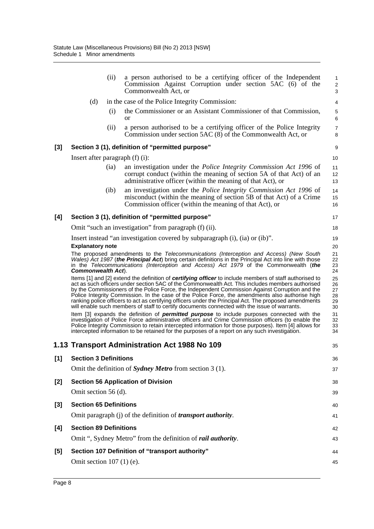|       |                                      | (ii)   | a person authorised to be a certifying officer of the Independent<br>Commission Against Corruption under section 5AC (6) of the<br>Commonwealth Act, or                                                                                                                                                                                                                                                                                                                                                                                                                                                                      | $\mathbf{1}$<br>$\sqrt{2}$<br>3  |
|-------|--------------------------------------|--------|------------------------------------------------------------------------------------------------------------------------------------------------------------------------------------------------------------------------------------------------------------------------------------------------------------------------------------------------------------------------------------------------------------------------------------------------------------------------------------------------------------------------------------------------------------------------------------------------------------------------------|----------------------------------|
|       | (d)                                  |        | in the case of the Police Integrity Commission:                                                                                                                                                                                                                                                                                                                                                                                                                                                                                                                                                                              | 4                                |
|       |                                      | (i)    | the Commissioner or an Assistant Commissioner of that Commission,<br><sub>or</sub>                                                                                                                                                                                                                                                                                                                                                                                                                                                                                                                                           | 5<br>6                           |
|       |                                      | (ii)   | a person authorised to be a certifying officer of the Police Integrity<br>Commission under section 5AC (8) of the Commonwealth Act, or                                                                                                                                                                                                                                                                                                                                                                                                                                                                                       | $\boldsymbol{7}$<br>8            |
| $[3]$ |                                      |        | Section 3 (1), definition of "permitted purpose"                                                                                                                                                                                                                                                                                                                                                                                                                                                                                                                                                                             | 9                                |
|       | Insert after paragraph $(f)$ $(i)$ : |        |                                                                                                                                                                                                                                                                                                                                                                                                                                                                                                                                                                                                                              | 10                               |
|       |                                      | (ia)   | an investigation under the <i>Police Integrity Commission Act 1996</i> of<br>corrupt conduct (within the meaning of section 5A of that Act) of an<br>administrative officer (within the meaning of that Act), or                                                                                                                                                                                                                                                                                                                                                                                                             | 11<br>12<br>13                   |
|       |                                      | $(ib)$ | an investigation under the <i>Police Integrity Commission Act 1996</i> of<br>misconduct (within the meaning of section 5B of that Act) of a Crime<br>Commission officer (within the meaning of that Act), or                                                                                                                                                                                                                                                                                                                                                                                                                 | 14<br>15<br>16                   |
| [4]   |                                      |        | Section 3 (1), definition of "permitted purpose"                                                                                                                                                                                                                                                                                                                                                                                                                                                                                                                                                                             | 17                               |
|       |                                      |        | Omit "such an investigation" from paragraph (f) (ii).                                                                                                                                                                                                                                                                                                                                                                                                                                                                                                                                                                        | 18                               |
|       |                                      |        | Insert instead "an investigation covered by subparagraph (i), (ia) or (ib)".                                                                                                                                                                                                                                                                                                                                                                                                                                                                                                                                                 | 19                               |
|       | <b>Explanatory note</b>              |        |                                                                                                                                                                                                                                                                                                                                                                                                                                                                                                                                                                                                                              | 20                               |
|       | <b>Commonwealth Act.</b>             |        | The proposed amendments to the Telecommunications (Interception and Access) (New South<br>Wales) Act 1987 (the Principal Act) bring certain definitions in the Principal Act into line with those<br>in the Telecommunications (Interception and Access) Act 1979 of the Commonwealth (the                                                                                                                                                                                                                                                                                                                                   | 21<br>22<br>23<br>24             |
|       |                                      |        | Items [1] and [2] extend the definition of certifying officer to include members of staff authorised to<br>act as such officers under section 5AC of the Commonwealth Act. This includes members authorised<br>by the Commissioners of the Police Force, the Independent Commission Against Corruption and the<br>Police Integrity Commission. In the case of the Police Force, the amendments also authorise high<br>ranking police officers to act as certifying officers under the Principal Act. The proposed amendments<br>will enable such members of staff to certify documents connected with the issue of warrants. | 25<br>26<br>27<br>28<br>29<br>30 |
|       |                                      |        | Item [3] expands the definition of <i>permitted purpose</i> to include purposes connected with the<br>investigation of Police Force administrative officers and Crime Commission officers (to enable the<br>Police Integrity Commission to retain intercepted information for those purposes). Item [4] allows for<br>intercepted information to be retained for the purposes of a report on any such investigation.                                                                                                                                                                                                         | 31<br>32<br>33<br>34             |
|       |                                      |        | 1.13 Transport Administration Act 1988 No 109                                                                                                                                                                                                                                                                                                                                                                                                                                                                                                                                                                                | 35                               |
| [1]   | <b>Section 3 Definitions</b>         |        |                                                                                                                                                                                                                                                                                                                                                                                                                                                                                                                                                                                                                              | 36                               |
|       |                                      |        | Omit the definition of Sydney Metro from section $3(1)$ .                                                                                                                                                                                                                                                                                                                                                                                                                                                                                                                                                                    | 37                               |
| [2]   |                                      |        | <b>Section 56 Application of Division</b>                                                                                                                                                                                                                                                                                                                                                                                                                                                                                                                                                                                    | 38                               |
|       | Omit section 56 (d).                 |        |                                                                                                                                                                                                                                                                                                                                                                                                                                                                                                                                                                                                                              | 39                               |
| [3]   | <b>Section 65 Definitions</b>        |        |                                                                                                                                                                                                                                                                                                                                                                                                                                                                                                                                                                                                                              | 40                               |
|       |                                      |        | Omit paragraph (j) of the definition of <i>transport authority</i> .                                                                                                                                                                                                                                                                                                                                                                                                                                                                                                                                                         | 41                               |
| [4]   | <b>Section 89 Definitions</b>        |        |                                                                                                                                                                                                                                                                                                                                                                                                                                                                                                                                                                                                                              | 42                               |
|       |                                      |        | Omit ", Sydney Metro" from the definition of <i>rail authority</i> .                                                                                                                                                                                                                                                                                                                                                                                                                                                                                                                                                         | 43                               |
| [5]   |                                      |        | Section 107 Definition of "transport authority"                                                                                                                                                                                                                                                                                                                                                                                                                                                                                                                                                                              | 44                               |
|       | Omit section $107$ (1) (e).          |        |                                                                                                                                                                                                                                                                                                                                                                                                                                                                                                                                                                                                                              | 45                               |
|       |                                      |        |                                                                                                                                                                                                                                                                                                                                                                                                                                                                                                                                                                                                                              |                                  |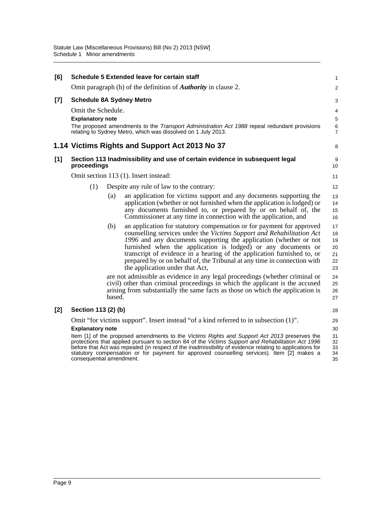| [6]   |                                                     |        | <b>Schedule 5 Extended leave for certain staff</b>                                                                                                                                                                                                                                                                                                                                                                                                                                                    | 1                                      |
|-------|-----------------------------------------------------|--------|-------------------------------------------------------------------------------------------------------------------------------------------------------------------------------------------------------------------------------------------------------------------------------------------------------------------------------------------------------------------------------------------------------------------------------------------------------------------------------------------------------|----------------------------------------|
|       |                                                     |        | Omit paragraph (h) of the definition of <b><i>Authority</i></b> in clause 2.                                                                                                                                                                                                                                                                                                                                                                                                                          | $\overline{a}$                         |
| $[7]$ | <b>Schedule 8A Sydney Metro</b>                     |        |                                                                                                                                                                                                                                                                                                                                                                                                                                                                                                       | 3                                      |
|       | Omit the Schedule.<br><b>Explanatory note</b>       |        | The proposed amendments to the <i>Transport Administration Act 1988</i> repeal redundant provisions<br>relating to Sydney Metro, which was dissolved on 1 July 2013.                                                                                                                                                                                                                                                                                                                                  | 4<br>5<br>6<br>7                       |
|       |                                                     |        | 1.14 Victims Rights and Support Act 2013 No 37                                                                                                                                                                                                                                                                                                                                                                                                                                                        | 8                                      |
| [1]   | proceedings                                         |        | Section 113 Inadmissibility and use of certain evidence in subsequent legal                                                                                                                                                                                                                                                                                                                                                                                                                           | 9<br>10                                |
|       |                                                     |        | Omit section 113 (1). Insert instead:                                                                                                                                                                                                                                                                                                                                                                                                                                                                 | 11                                     |
|       | (1)                                                 |        | Despite any rule of law to the contrary:                                                                                                                                                                                                                                                                                                                                                                                                                                                              | 12                                     |
|       |                                                     | (a)    | an application for victims support and any documents supporting the<br>application (whether or not furnished when the application is lodged) or<br>any documents furnished to, or prepared by or on behalf of, the<br>Commissioner at any time in connection with the application, and                                                                                                                                                                                                                | 13<br>14<br>15<br>16                   |
|       |                                                     | (b)    | an application for statutory compensation or for payment for approved<br>counselling services under the Victims Support and Rehabilitation Act<br>1996 and any documents supporting the application (whether or not<br>furnished when the application is lodged) or any documents or<br>transcript of evidence in a hearing of the application furnished to, or<br>prepared by or on behalf of, the Tribunal at any time in connection with<br>the application under that Act,                        | 17<br>18<br>19<br>20<br>21<br>22<br>23 |
|       |                                                     | based. | are not admissible as evidence in any legal proceedings (whether criminal or<br>civil) other than criminal proceedings in which the applicant is the accused<br>arising from substantially the same facts as those on which the application is                                                                                                                                                                                                                                                        | 24<br>25<br>26<br>27                   |
| $[2]$ | Section 113 (2) (b)                                 |        |                                                                                                                                                                                                                                                                                                                                                                                                                                                                                                       | 28                                     |
|       | <b>Explanatory note</b><br>consequential amendment. |        | Omit "for victims support". Insert instead "of a kind referred to in subsection (1)".<br>Item [1] of the proposed amendments to the Victims Rights and Support Act 2013 preserves the<br>protections that applied pursuant to section 84 of the Victims Support and Rehabilitation Act 1996<br>before that Act was repealed (in respect of the inadmissibility of evidence relating to applications for<br>statutory compensation or for payment for approved counselling services). Item [2] makes a | 29<br>30<br>31<br>32<br>33<br>34<br>35 |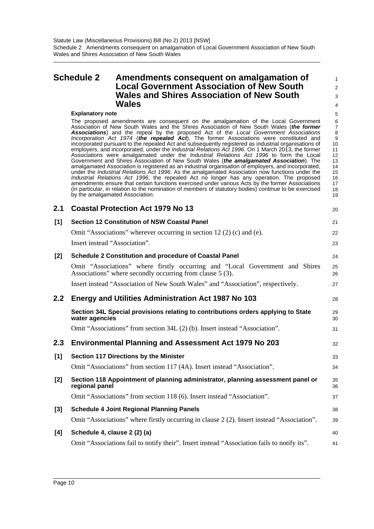### <span id="page-13-0"></span>**Schedule 2 Amendments consequent on amalgamation of Local Government Association of New South Wales and Shires Association of New South Wales**

3 4 5

20

21 22 23

1  $\overline{2}$ 

#### **Explanatory note**

The proposed amendments are consequent on the amalgamation of the Local Government Association of New South Wales and the Shires Association of New South Wales (*the former Associations*) and the repeal by the proposed Act of the *Local Government Associations Incorporation Act 1974* (*the repealed Act*). The former Associations were constituted and incorporated pursuant to the repealed Act and subsequently registered as industrial organisations of employers, and incorporated, under the *Industrial Relations Act 1996*. On 1 March 2013, the former Associations were amalgamated under the *Industrial Relations Act 1996* to form the Local Government and Shires Association of New South Wales (*the amalgamated Association*). The amalgamated Association is registered as an industrial organisation of employers, and incorporated, under the *Industrial Relations Act 1996*. As the amalgamated Association now functions under the *Industrial Relations Act 1996*, the repealed Act no longer has any operation. The proposed amendments ensure that certain functions exercised under various Acts by the former Associations (in particular, in relation to the nomination of members of statutory bodies) continue to be exercised by the amalgamated Association. 10 11 12 13 14 15 16 17 18 19

|     | 2.1 Coastal Protection Act 1979 No 13               |
|-----|-----------------------------------------------------|
| [1] | <b>Section 12 Constitution of NSW Coastal Panel</b> |

Omit "Associations" wherever occurring in section 12 (2) (c) and (e). Insert instead "Association".

| [2]   | <b>Schedule 2 Constitution and procedure of Coastal Panel</b>                                                                              | 24       |
|-------|--------------------------------------------------------------------------------------------------------------------------------------------|----------|
|       | Omit "Associations" where firstly occurring and "Local Government and Shires"<br>Associations" where secondly occurring from clause 5 (3). | 25<br>26 |
|       | Insert instead "Association of New South Wales" and "Association", respectively.                                                           | 27       |
| 2.2   | Energy and Utilities Administration Act 1987 No 103                                                                                        | 28       |
|       | Section 34L Special provisions relating to contributions orders applying to State<br>water agencies                                        | 29<br>30 |
|       | Omit "Associations" from section 34L (2) (b). Insert instead "Association".                                                                | 31       |
|       |                                                                                                                                            |          |
| 2.3   | <b>Environmental Planning and Assessment Act 1979 No 203</b>                                                                               | 32       |
| $[1]$ | <b>Section 117 Directions by the Minister</b>                                                                                              | 33       |
|       | Omit "Associations" from section 117 (4A). Insert instead "Association".                                                                   | 34       |
| [2]   | Section 118 Appointment of planning administrator, planning assessment panel or<br>regional panel                                          | 35<br>36 |
|       | Omit "Associations" from section 118 (6). Insert instead "Association".                                                                    | 37       |
| [3]   | <b>Schedule 4 Joint Regional Planning Panels</b>                                                                                           | 38       |

#### **[4] Schedule 4, clause 2 (2) (a)** Omit "Associations fail to notify their". Insert instead "Association fails to notify its". 40 41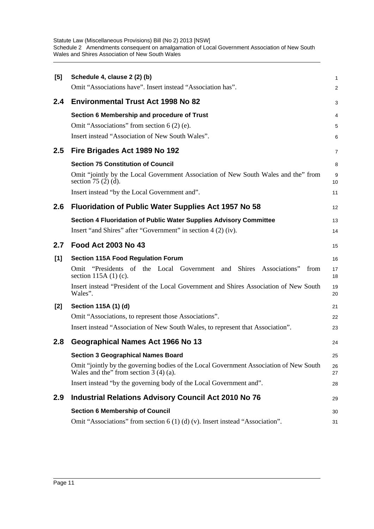Statute Law (Miscellaneous Provisions) Bill (No 2) 2013 [NSW] Schedule 2 Amendments consequent on amalgamation of Local Government Association of New South Wales and Shires Association of New South Wales

| [5] | Schedule 4, clause 2 (2) (b)                                                                                                      | 1        |
|-----|-----------------------------------------------------------------------------------------------------------------------------------|----------|
|     | Omit "Associations have". Insert instead "Association has".                                                                       | 2        |
| 2.4 | <b>Environmental Trust Act 1998 No 82</b>                                                                                         | 3        |
|     | Section 6 Membership and procedure of Trust                                                                                       | 4        |
|     | Omit "Associations" from section 6 (2) (e).                                                                                       | 5        |
|     | Insert instead "Association of New South Wales".                                                                                  | 6        |
| 2.5 | Fire Brigades Act 1989 No 192                                                                                                     | 7        |
|     | <b>Section 75 Constitution of Council</b>                                                                                         | 8        |
|     | Omit "jointly by the Local Government Association of New South Wales and the" from<br>section 75 $(2)$ $(d)$ .                    | 9<br>10  |
|     | Insert instead "by the Local Government and".                                                                                     | 11       |
| 2.6 | <b>Fluoridation of Public Water Supplies Act 1957 No 58</b>                                                                       | 12       |
|     | Section 4 Fluoridation of Public Water Supplies Advisory Committee                                                                | 13       |
|     | Insert "and Shires" after "Government" in section 4 (2) (iv).                                                                     | 14       |
| 2.7 | <b>Food Act 2003 No 43</b>                                                                                                        | 15       |
| [1] | <b>Section 115A Food Regulation Forum</b>                                                                                         | 16       |
|     | Omit "Presidents of the Local Government and<br>Shires Associations"<br>from<br>section $115A(1)$ (c).                            | 17<br>18 |
|     | Insert instead "President of the Local Government and Shires Association of New South<br>Wales".                                  | 19<br>20 |
| [2] | Section 115A (1) (d)                                                                                                              | 21       |
|     | Omit "Associations, to represent those Associations".                                                                             | 22       |
|     | Insert instead "Association of New South Wales, to represent that Association".                                                   | 23       |
| 2.8 | Geographical Names Act 1966 No 13                                                                                                 | 24       |
|     | <b>Section 3 Geographical Names Board</b>                                                                                         | 25       |
|     | Omit "jointly by the governing bodies of the Local Government Association of New South<br>Wales and the" from section $3(4)(a)$ . | 26<br>27 |
|     | Insert instead "by the governing body of the Local Government and".                                                               | 28       |
| 2.9 | <b>Industrial Relations Advisory Council Act 2010 No 76</b>                                                                       | 29       |
|     | <b>Section 6 Membership of Council</b>                                                                                            | 30       |
|     | Omit "Associations" from section $6(1)(d)(v)$ . Insert instead "Association".                                                     | 31       |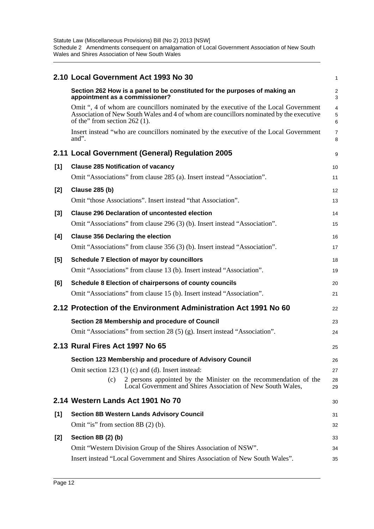|     | 2.10 Local Government Act 1993 No 30                                                                                                                                                                               | 1                            |
|-----|--------------------------------------------------------------------------------------------------------------------------------------------------------------------------------------------------------------------|------------------------------|
|     | Section 262 How is a panel to be constituted for the purposes of making an<br>appointment as a commissioner?                                                                                                       | $\overline{\mathbf{c}}$<br>3 |
|     | Omit ", 4 of whom are councillors nominated by the executive of the Local Government<br>Association of New South Wales and 4 of whom are councillors nominated by the executive<br>of the" from section $262$ (1). | 4<br>5<br>6                  |
|     | Insert instead "who are councillors nominated by the executive of the Local Government<br>and".                                                                                                                    | 7<br>8                       |
|     | 2.11 Local Government (General) Regulation 2005                                                                                                                                                                    | 9                            |
| [1] | <b>Clause 285 Notification of vacancy</b><br>Omit "Associations" from clause 285 (a). Insert instead "Association".                                                                                                | 10<br>11                     |
| [2] | <b>Clause 285 (b)</b>                                                                                                                                                                                              | 12                           |
|     | Omit "those Associations". Insert instead "that Association".                                                                                                                                                      | 13                           |
| [3] | <b>Clause 296 Declaration of uncontested election</b>                                                                                                                                                              | 14                           |
|     | Omit "Associations" from clause 296 (3) (b). Insert instead "Association".                                                                                                                                         | 15                           |
| [4] | <b>Clause 356 Declaring the election</b>                                                                                                                                                                           | 16                           |
|     | Omit "Associations" from clause 356 (3) (b). Insert instead "Association".                                                                                                                                         | 17                           |
| [5] | <b>Schedule 7 Election of mayor by councillors</b>                                                                                                                                                                 | 18                           |
|     | Omit "Associations" from clause 13 (b). Insert instead "Association".                                                                                                                                              | 19                           |
| [6] | Schedule 8 Election of chairpersons of county councils                                                                                                                                                             | 20                           |
|     | Omit "Associations" from clause 15 (b). Insert instead "Association".                                                                                                                                              | 21                           |
|     | 2.12 Protection of the Environment Administration Act 1991 No 60                                                                                                                                                   | 22                           |
|     | Section 28 Membership and procedure of Council                                                                                                                                                                     | 23                           |
|     | Omit "Associations" from section 28 (5) (g). Insert instead "Association".                                                                                                                                         | 24                           |
|     | 2.13 Rural Fires Act 1997 No 65                                                                                                                                                                                    | 25                           |
|     | Section 123 Membership and procedure of Advisory Council                                                                                                                                                           | 26                           |
|     | Omit section 123 (1) (c) and (d). Insert instead:                                                                                                                                                                  | 27                           |
|     | 2 persons appointed by the Minister on the recommendation of the<br>(c)<br>Local Government and Shires Association of New South Wales,                                                                             | 28<br>29                     |
|     | 2.14 Western Lands Act 1901 No 70                                                                                                                                                                                  | 30                           |
| [1] | <b>Section 8B Western Lands Advisory Council</b>                                                                                                                                                                   | 31                           |
|     | Omit "is" from section 8B $(2)$ $(b)$ .                                                                                                                                                                            | 32                           |
| [2] | Section 8B (2) (b)                                                                                                                                                                                                 | 33                           |
|     | Omit "Western Division Group of the Shires Association of NSW".                                                                                                                                                    | 34                           |
|     | Insert instead "Local Government and Shires Association of New South Wales".                                                                                                                                       | 35                           |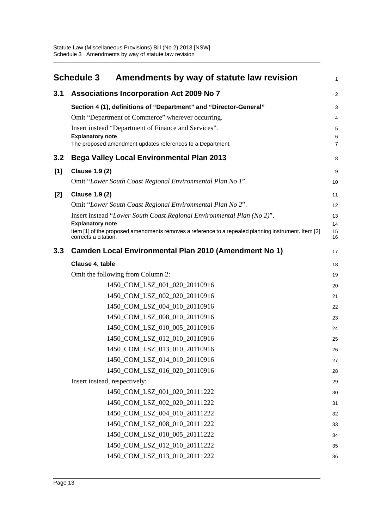<span id="page-16-0"></span>

|       | <b>Schedule 3</b><br>Amendments by way of statute law revision                                                                                         | 1              |
|-------|--------------------------------------------------------------------------------------------------------------------------------------------------------|----------------|
| 3.1   | <b>Associations Incorporation Act 2009 No 7</b>                                                                                                        | $\overline{a}$ |
|       | Section 4 (1), definitions of "Department" and "Director-General"                                                                                      | 3              |
|       | Omit "Department of Commerce" wherever occurring.                                                                                                      | 4              |
|       | Insert instead "Department of Finance and Services".                                                                                                   | 5              |
|       | <b>Explanatory note</b><br>The proposed amendment updates references to a Department.                                                                  | 6<br>7         |
| 3.2   | <b>Bega Valley Local Environmental Plan 2013</b>                                                                                                       | 8              |
| [1]   | <b>Clause 1.9 (2)</b>                                                                                                                                  | 9              |
|       | Omit "Lower South Coast Regional Environmental Plan No 1".                                                                                             | 10             |
| $[2]$ | <b>Clause 1.9 (2)</b>                                                                                                                                  | 11             |
|       | Omit "Lower South Coast Regional Environmental Plan No 2".                                                                                             | 12             |
|       | Insert instead "Lower South Coast Regional Environmental Plan (No 2)".                                                                                 | 13             |
|       | <b>Explanatory note</b><br>Item [1] of the proposed amendments removes a reference to a repealed planning instrument. Item [2]<br>corrects a citation. | 14<br>15<br>16 |
| 3.3   | <b>Camden Local Environmental Plan 2010 (Amendment No 1)</b>                                                                                           | 17             |
|       | Clause 4, table                                                                                                                                        | 18             |
|       | Omit the following from Column 2:                                                                                                                      | 19             |
|       | 1450_COM_LSZ_001_020_20110916                                                                                                                          | 20             |
|       | 1450_COM_LSZ_002_020_20110916                                                                                                                          | 21             |
|       | 1450_COM_LSZ_004_010_20110916                                                                                                                          | 22             |
|       | 1450_COM_LSZ_008_010_20110916                                                                                                                          | 23             |
|       | 1450_COM_LSZ_010_005_20110916                                                                                                                          | 24             |
|       | 1450_COM_LSZ_012_010_20110916                                                                                                                          | 25             |
|       | 1450_COM_LSZ_013_010_20110916                                                                                                                          | 26             |
|       | 1450_COM_LSZ_014_010_20110916                                                                                                                          | 27             |
|       | 1450_COM_LSZ_016_020_20110916                                                                                                                          | 28             |
|       | Insert instead, respectively:                                                                                                                          | 29             |
|       | 1450_COM_LSZ_001_020_20111222                                                                                                                          | 30             |
|       | 1450_COM_LSZ_002_020_20111222                                                                                                                          | 31             |
|       | 1450_COM_LSZ_004_010_20111222                                                                                                                          | 32             |
|       | 1450 COM LSZ 008 010 20111222                                                                                                                          | 33             |
|       | 1450_COM_LSZ_010_005_20111222<br>1450_COM_LSZ_012_010_20111222                                                                                         | 34             |
|       | 1450_COM_LSZ_013_010_20111222                                                                                                                          | 35             |
|       |                                                                                                                                                        | 36             |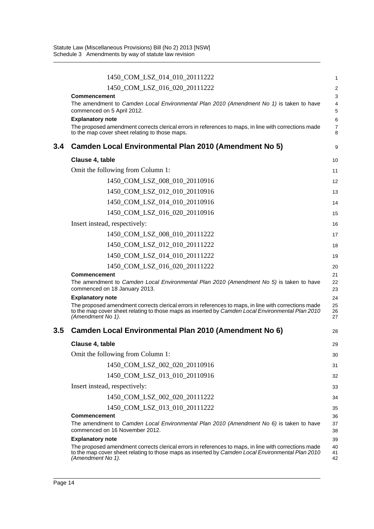|     | 1450_COM_LSZ_014_010_20111222                                                                                                                                                                                                  | 1                       |
|-----|--------------------------------------------------------------------------------------------------------------------------------------------------------------------------------------------------------------------------------|-------------------------|
|     | 1450_COM_LSZ_016_020_20111222                                                                                                                                                                                                  | $\overline{\mathbf{c}}$ |
|     | <b>Commencement</b><br>The amendment to Camden Local Environmental Plan 2010 (Amendment No 1) is taken to have<br>commenced on 5 April 2012.                                                                                   | 3<br>4<br>5             |
|     | <b>Explanatory note</b><br>The proposed amendment corrects clerical errors in references to maps, in line with corrections made<br>to the map cover sheet relating to those maps.                                              | 6<br>7<br>8             |
| 3.4 | Camden Local Environmental Plan 2010 (Amendment No 5)                                                                                                                                                                          | 9                       |
|     | Clause 4, table                                                                                                                                                                                                                | 10                      |
|     | Omit the following from Column 1:                                                                                                                                                                                              | 11                      |
|     | 1450_COM_LSZ_008_010_20110916                                                                                                                                                                                                  | 12                      |
|     | 1450_COM_LSZ_012_010_20110916                                                                                                                                                                                                  | 13                      |
|     | 1450_COM_LSZ_014_010_20110916                                                                                                                                                                                                  | 14                      |
|     | 1450_COM_LSZ_016_020_20110916                                                                                                                                                                                                  | 15                      |
|     | Insert instead, respectively:                                                                                                                                                                                                  | 16                      |
|     | 1450_COM_LSZ_008_010_20111222                                                                                                                                                                                                  | 17                      |
|     | 1450_COM_LSZ_012_010_20111222                                                                                                                                                                                                  | 18                      |
|     | 1450_COM_LSZ_014_010_20111222                                                                                                                                                                                                  | 19                      |
|     | 1450_COM_LSZ_016_020_20111222                                                                                                                                                                                                  | 20                      |
|     | <b>Commencement</b><br>The amendment to Camden Local Environmental Plan 2010 (Amendment No 5) is taken to have<br>commenced on 18 January 2013.                                                                                | 21<br>22<br>23          |
|     | <b>Explanatory note</b>                                                                                                                                                                                                        | 24                      |
|     | The proposed amendment corrects clerical errors in references to maps, in line with corrections made<br>to the map cover sheet relating to those maps as inserted by Camden Local Environmental Plan 2010<br>(Amendment No 1). | 25<br>26<br>27          |
| 3.5 | Camden Local Environmental Plan 2010 (Amendment No 6)                                                                                                                                                                          | 28                      |
|     | Clause 4, table                                                                                                                                                                                                                | 29                      |
|     | Omit the following from Column 1:                                                                                                                                                                                              | 30                      |
|     | 1450_COM_LSZ_002_020_20110916                                                                                                                                                                                                  | 31                      |
|     | 1450_COM_LSZ_013_010_20110916                                                                                                                                                                                                  | 32                      |
|     | Insert instead, respectively:                                                                                                                                                                                                  | 33                      |
|     | 1450 COM LSZ 002 020 20111222                                                                                                                                                                                                  | 34                      |
|     | 1450 COM LSZ 013 010 20111222                                                                                                                                                                                                  | 35                      |
|     | <b>Commencement</b><br>The amendment to Camden Local Environmental Plan 2010 (Amendment No $6$ ) is taken to have<br>commenced on 16 November 2012.                                                                            | 36<br>37<br>38          |
|     | <b>Explanatory note</b>                                                                                                                                                                                                        | 39                      |
|     | The proposed amendment corrects clerical errors in references to maps, in line with corrections made<br>to the map cover sheet relating to those maps as inserted by Camden Local Environmental Plan 2010<br>(Amendment No 1). | 40<br>41<br>42          |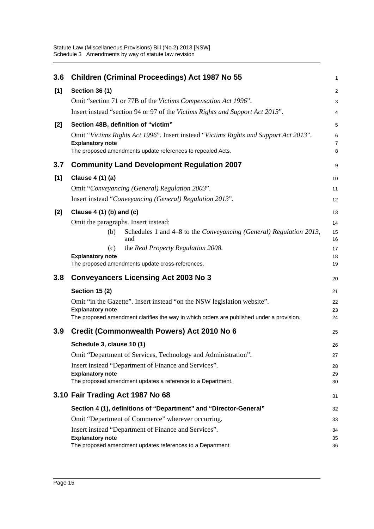| 3.6   | <b>Children (Criminal Proceedings) Act 1987 No 55</b>                                                                                                                           | $\mathbf{1}$             |
|-------|---------------------------------------------------------------------------------------------------------------------------------------------------------------------------------|--------------------------|
| [1]   | <b>Section 36 (1)</b>                                                                                                                                                           | $\overline{2}$           |
|       | Omit "section 71 or 77B of the Victims Compensation Act 1996".                                                                                                                  | $\mathsf 3$              |
|       | Insert instead "section 94 or 97 of the Victims Rights and Support Act 2013".                                                                                                   | $\overline{4}$           |
| $[2]$ | Section 48B, definition of "victim"                                                                                                                                             | 5                        |
|       | Omit "Victims Rights Act 1996". Insert instead "Victims Rights and Support Act 2013".<br><b>Explanatory note</b><br>The proposed amendments update references to repealed Acts. | 6<br>$\overline{7}$<br>8 |
| 3.7   | <b>Community Land Development Regulation 2007</b>                                                                                                                               | 9                        |
| [1]   | Clause 4 (1) (a)                                                                                                                                                                | 10                       |
|       | Omit "Conveyancing (General) Regulation 2003".                                                                                                                                  | 11                       |
|       | Insert instead "Conveyancing (General) Regulation 2013".                                                                                                                        | 12                       |
| [2]   | Clause $4(1)(b)$ and $(c)$                                                                                                                                                      | 13                       |
|       | Omit the paragraphs. Insert instead:                                                                                                                                            | 14                       |
|       | Schedules 1 and 4-8 to the Conveyancing (General) Regulation 2013,<br>(b)<br>and                                                                                                | 15<br>16                 |
|       | the Real Property Regulation 2008.<br>(c)                                                                                                                                       | 17                       |
|       | <b>Explanatory note</b><br>The proposed amendments update cross-references.                                                                                                     | 18<br>19                 |
|       |                                                                                                                                                                                 |                          |
| 3.8   | <b>Conveyancers Licensing Act 2003 No 3</b>                                                                                                                                     | 20                       |
|       | <b>Section 15 (2)</b>                                                                                                                                                           | 21                       |
|       | Omit "in the Gazette". Insert instead "on the NSW legislation website".<br><b>Explanatory note</b>                                                                              | 22                       |
|       | The proposed amendment clarifies the way in which orders are published under a provision.                                                                                       | 23<br>24                 |
| 3.9   | Credit (Commonwealth Powers) Act 2010 No 6                                                                                                                                      | 25                       |
|       | Schedule 3, clause 10 (1)                                                                                                                                                       | 26                       |
|       | Omit "Department of Services, Technology and Administration".                                                                                                                   | 27                       |
|       | Insert instead "Department of Finance and Services".                                                                                                                            | 28                       |
|       | <b>Explanatory note</b><br>The proposed amendment updates a reference to a Department.                                                                                          | 29<br>30                 |
|       | 3.10 Fair Trading Act 1987 No 68                                                                                                                                                | 31                       |
|       | Section 4 (1), definitions of "Department" and "Director-General"                                                                                                               | 32                       |
|       | Omit "Department of Commerce" wherever occurring.                                                                                                                               | 33                       |
|       | Insert instead "Department of Finance and Services".                                                                                                                            | 34                       |
|       | <b>Explanatory note</b><br>The proposed amendment updates references to a Department.                                                                                           | 35<br>36                 |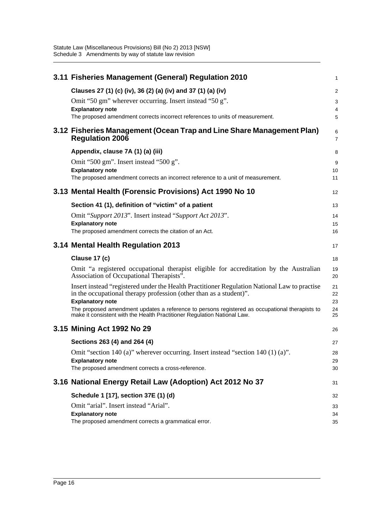| 3.11 Fisheries Management (General) Regulation 2010                                                                                                                        | 1              |
|----------------------------------------------------------------------------------------------------------------------------------------------------------------------------|----------------|
| Clauses 27 (1) (c) (iv), 36 (2) (a) (iv) and 37 (1) (a) (iv)                                                                                                               | $\overline{a}$ |
| Omit "50 gm" wherever occurring. Insert instead "50 g".                                                                                                                    | 3              |
| <b>Explanatory note</b><br>The proposed amendment corrects incorrect references to units of measurement.                                                                   | 4<br>5         |
| 3.12 Fisheries Management (Ocean Trap and Line Share Management Plan)<br><b>Regulation 2006</b>                                                                            | 6<br>7         |
| Appendix, clause 7A (1) (a) (iii)                                                                                                                                          | 8              |
| Omit "500 gm". Insert instead "500 g".                                                                                                                                     | 9              |
| <b>Explanatory note</b>                                                                                                                                                    | 10             |
| The proposed amendment corrects an incorrect reference to a unit of measurement.                                                                                           | 11             |
| 3.13 Mental Health (Forensic Provisions) Act 1990 No 10                                                                                                                    | 12             |
| Section 41 (1), definition of "victim" of a patient                                                                                                                        | 13             |
| Omit "Support 2013". Insert instead "Support Act 2013".                                                                                                                    | 14             |
| <b>Explanatory note</b>                                                                                                                                                    | 15             |
| The proposed amendment corrects the citation of an Act.                                                                                                                    | 16             |
| 3.14 Mental Health Regulation 2013                                                                                                                                         | 17             |
|                                                                                                                                                                            |                |
| Clause 17 (c)                                                                                                                                                              | 18             |
| Omit "a registered occupational therapist eligible for accreditation by the Australian<br>Association of Occupational Therapists".                                         | 19<br>20       |
| Insert instead "registered under the Health Practitioner Regulation National Law to practise<br>in the occupational therapy profession (other than as a student)".         | 21<br>22       |
| <b>Explanatory note</b>                                                                                                                                                    | 23             |
| The proposed amendment updates a reference to persons registered as occupational therapists to<br>make it consistent with the Health Practitioner Regulation National Law. | 24<br>25       |
| 3.15 Mining Act 1992 No 29                                                                                                                                                 | 26             |
| Sections 263 (4) and 264 (4)                                                                                                                                               | 27             |
| Omit "section 140 (a)" wherever occurring. Insert instead "section 140 (1) (a)".                                                                                           | 28             |
| <b>Explanatory note</b>                                                                                                                                                    | 29             |
| The proposed amendment corrects a cross-reference.                                                                                                                         | 30             |
| 3.16 National Energy Retail Law (Adoption) Act 2012 No 37                                                                                                                  | 31             |
| Schedule 1 [17], section 37E (1) (d)                                                                                                                                       | 32             |
| Omit "arial". Insert instead "Arial".                                                                                                                                      | 33             |
| <b>Explanatory note</b><br>The proposed amendment corrects a grammatical error.                                                                                            | 34<br>35       |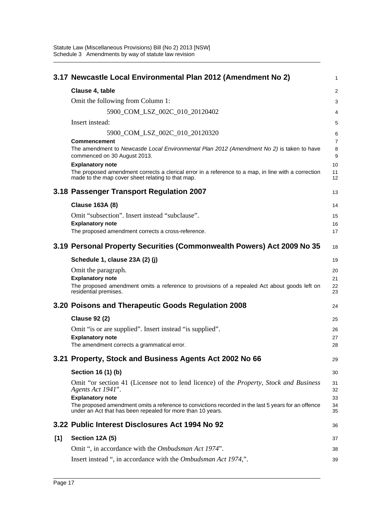|     | 3.17 Newcastle Local Environmental Plan 2012 (Amendment No 2)                                                                                                      | $\mathbf{1}$   |
|-----|--------------------------------------------------------------------------------------------------------------------------------------------------------------------|----------------|
|     | Clause 4, table                                                                                                                                                    | 2              |
|     | Omit the following from Column 1:                                                                                                                                  | 3              |
|     | 5900 COM LSZ 002C 010 20120402                                                                                                                                     | 4              |
|     | Insert instead:                                                                                                                                                    | 5              |
|     | 5900_COM_LSZ_002C_010_20120320                                                                                                                                     | 6              |
|     | <b>Commencement</b>                                                                                                                                                | $\overline{7}$ |
|     | The amendment to Newcastle Local Environmental Plan 2012 (Amendment No 2) is taken to have<br>commenced on 30 August 2013.                                         | 8<br>9         |
|     | <b>Explanatory note</b>                                                                                                                                            | 10             |
|     | The proposed amendment corrects a clerical error in a reference to a map, in line with a correction<br>made to the map cover sheet relating to that map.           | 11<br>12       |
|     | 3.18 Passenger Transport Regulation 2007                                                                                                                           | 13             |
|     | <b>Clause 163A (8)</b>                                                                                                                                             | 14             |
|     | Omit "subsection". Insert instead "subclause".                                                                                                                     | 15             |
|     | <b>Explanatory note</b>                                                                                                                                            | 16             |
|     | The proposed amendment corrects a cross-reference.                                                                                                                 | 17             |
|     | 3.19 Personal Property Securities (Commonwealth Powers) Act 2009 No 35                                                                                             | 18             |
|     | Schedule 1, clause 23A (2) (j)                                                                                                                                     | 19             |
|     | Omit the paragraph.                                                                                                                                                | 20             |
|     | <b>Explanatory note</b>                                                                                                                                            | 21             |
|     | The proposed amendment omits a reference to provisions of a repealed Act about goods left on<br>residential premises.                                              | 22<br>23       |
|     | 3.20 Poisons and Therapeutic Goods Regulation 2008                                                                                                                 | 24             |
|     | <b>Clause 92 (2)</b>                                                                                                                                               | 25             |
|     | Omit "is or are supplied". Insert instead "is supplied".                                                                                                           | 26             |
|     | <b>Explanatory note</b>                                                                                                                                            | 27             |
|     | The amendment corrects a grammatical error.                                                                                                                        | 28             |
|     | 3.21 Property, Stock and Business Agents Act 2002 No 66                                                                                                            | 29             |
|     | Section 16 (1) (b)                                                                                                                                                 | 30             |
|     | Omit "or section 41 (Licensee not to lend licence) of the <i>Property, Stock and Business</i>                                                                      | 31             |
|     | Agents Act 1941".                                                                                                                                                  | 32             |
|     | <b>Explanatory note</b>                                                                                                                                            | 33             |
|     | The proposed amendment omits a reference to convictions recorded in the last 5 years for an offence<br>under an Act that has been repealed for more than 10 years. | 34<br>35       |
|     | 3.22 Public Interest Disclosures Act 1994 No 92                                                                                                                    | 36             |
| [1] | Section 12A (5)                                                                                                                                                    | 37             |
|     | Omit ", in accordance with the <i>Ombudsman Act 1974</i> ".                                                                                                        | 38             |
|     | Insert instead ", in accordance with the Ombudsman Act 1974,".                                                                                                     | 39             |
|     |                                                                                                                                                                    |                |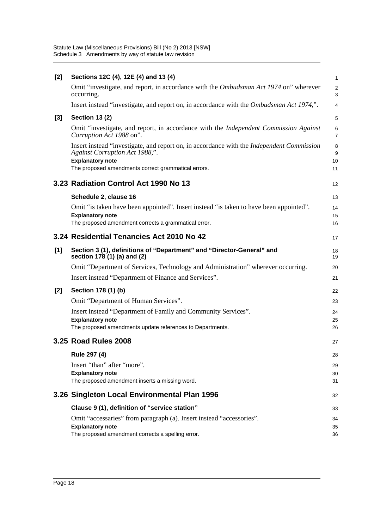| $[2]$ | Sections 12C (4), 12E (4) and 13 (4)                                                                                               | $\mathbf{1}$        |
|-------|------------------------------------------------------------------------------------------------------------------------------------|---------------------|
|       | Omit "investigate, and report, in accordance with the <i>Ombudsman Act 1974</i> on" wherever<br>occurring.                         | $\overline{2}$<br>3 |
|       | Insert instead "investigate, and report on, in accordance with the <i>Ombudsman Act 1974</i> ,".                                   | $\overline{4}$      |
| $[3]$ | <b>Section 13 (2)</b>                                                                                                              | 5                   |
|       | Omit "investigate, and report, in accordance with the <i>Independent Commission Against</i><br>Corruption Act 1988 on".            | 6<br>$\overline{7}$ |
|       | Insert instead "investigate, and report on, in accordance with the <i>Independent Commission</i><br>Against Corruption Act 1988,". | 8<br>9              |
|       | <b>Explanatory note</b><br>The proposed amendments correct grammatical errors.                                                     | 10<br>11            |
|       | 3.23 Radiation Control Act 1990 No 13                                                                                              | 12                  |
|       | Schedule 2, clause 16                                                                                                              | 13                  |
|       | Omit "is taken have been appointed". Insert instead "is taken to have been appointed".                                             | 14                  |
|       | <b>Explanatory note</b><br>The proposed amendment corrects a grammatical error.                                                    | 15<br>16            |
|       |                                                                                                                                    |                     |
|       | 3.24 Residential Tenancies Act 2010 No 42                                                                                          | 17                  |
| [1]   | Section 3 (1), definitions of "Department" and "Director-General" and<br>section 178 (1) (a) and (2)                               | 18<br>19            |
|       | Omit "Department of Services, Technology and Administration" wherever occurring.                                                   | 20                  |
|       | Insert instead "Department of Finance and Services".                                                                               | 21                  |
| $[2]$ | Section 178 (1) (b)                                                                                                                | 22                  |
|       | Omit "Department of Human Services".                                                                                               | 23                  |
|       | Insert instead "Department of Family and Community Services".                                                                      | 24                  |
|       | <b>Explanatory note</b><br>The proposed amendments update references to Departments.                                               | 25<br>26            |
|       |                                                                                                                                    |                     |
|       | 3.25 Road Rules 2008                                                                                                               | 27                  |
|       | Rule 297 (4)                                                                                                                       | 28                  |
|       | Insert "than" after "more".                                                                                                        | 29                  |
|       | <b>Explanatory note</b><br>The proposed amendment inserts a missing word.                                                          | 30<br>31            |
|       |                                                                                                                                    |                     |
|       | 3.26 Singleton Local Environmental Plan 1996                                                                                       | 32                  |
|       | Clause 9 (1), definition of "service station"                                                                                      | 33                  |
|       |                                                                                                                                    |                     |
|       | Omit "accessaries" from paragraph (a). Insert instead "accessories".                                                               | 34                  |
|       | <b>Explanatory note</b><br>The proposed amendment corrects a spelling error.                                                       | 35<br>36            |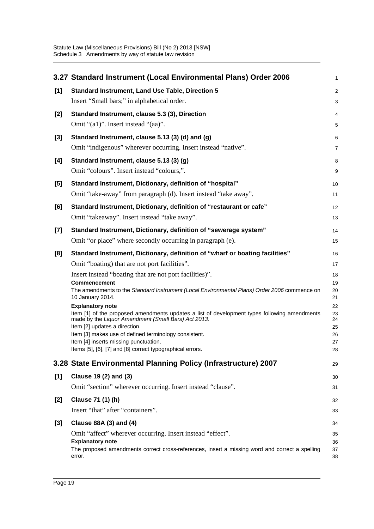|       | 3.27 Standard Instrument (Local Environmental Plans) Order 2006                                                                                                                                                                                                                                                                                                                | $\mathbf{1}$                           |
|-------|--------------------------------------------------------------------------------------------------------------------------------------------------------------------------------------------------------------------------------------------------------------------------------------------------------------------------------------------------------------------------------|----------------------------------------|
| [1]   | <b>Standard Instrument, Land Use Table, Direction 5</b>                                                                                                                                                                                                                                                                                                                        | $\overline{c}$                         |
|       | Insert "Small bars;" in alphabetical order.                                                                                                                                                                                                                                                                                                                                    | 3                                      |
| $[2]$ | Standard Instrument, clause 5.3 (3), Direction                                                                                                                                                                                                                                                                                                                                 | 4                                      |
|       | Omit "(a1)". Insert instead "(aa)".                                                                                                                                                                                                                                                                                                                                            | 5                                      |
| $[3]$ | Standard Instrument, clause 5.13 (3) (d) and (g)<br>Omit "indigenous" wherever occurring. Insert instead "native".                                                                                                                                                                                                                                                             | 6<br>$\overline{7}$                    |
| [4]   | Standard Instrument, clause 5.13 (3) (g)                                                                                                                                                                                                                                                                                                                                       | 8                                      |
|       | Omit "colours". Insert instead "colours,".                                                                                                                                                                                                                                                                                                                                     | 9                                      |
| [5]   | Standard Instrument, Dictionary, definition of "hospital"                                                                                                                                                                                                                                                                                                                      | 10                                     |
|       | Omit "take-away" from paragraph (d). Insert instead "take away".                                                                                                                                                                                                                                                                                                               | 11                                     |
| [6]   | Standard Instrument, Dictionary, definition of "restaurant or cafe"                                                                                                                                                                                                                                                                                                            | 12                                     |
|       | Omit "takeaway". Insert instead "take away".                                                                                                                                                                                                                                                                                                                                   | 13                                     |
| $[7]$ | Standard Instrument, Dictionary, definition of "sewerage system"                                                                                                                                                                                                                                                                                                               | 14                                     |
|       | Omit "or place" where secondly occurring in paragraph (e).                                                                                                                                                                                                                                                                                                                     | 15                                     |
| [8]   | Standard Instrument, Dictionary, definition of "wharf or boating facilities"                                                                                                                                                                                                                                                                                                   | 16                                     |
|       | Omit "boating) that are not port facilities".                                                                                                                                                                                                                                                                                                                                  | 17                                     |
|       | Insert instead "boating that are not port facilities)".                                                                                                                                                                                                                                                                                                                        | 18                                     |
|       | <b>Commencement</b><br>The amendments to the Standard Instrument (Local Environmental Plans) Order 2006 commence on<br>10 January 2014.                                                                                                                                                                                                                                        | 19<br>20<br>21                         |
|       | <b>Explanatory note</b><br>Item [1] of the proposed amendments updates a list of development types following amendments<br>made by the Liquor Amendment (Small Bars) Act 2013.<br>Item [2] updates a direction.<br>Item [3] makes use of defined terminology consistent.<br>Item [4] inserts missing punctuation.<br>Items [5], [6], [7] and [8] correct typographical errors. | 22<br>23<br>24<br>25<br>26<br>27<br>28 |
|       | 3.28 State Environmental Planning Policy (Infrastructure) 2007                                                                                                                                                                                                                                                                                                                 | 29                                     |
| [1]   | Clause 19 (2) and (3)                                                                                                                                                                                                                                                                                                                                                          | 30                                     |
|       | Omit "section" wherever occurring. Insert instead "clause".                                                                                                                                                                                                                                                                                                                    | 31                                     |
| $[2]$ | Clause 71 (1) (h)                                                                                                                                                                                                                                                                                                                                                              | 32                                     |
|       | Insert "that" after "containers".                                                                                                                                                                                                                                                                                                                                              | 33                                     |
| $[3]$ | Clause 88A (3) and (4)                                                                                                                                                                                                                                                                                                                                                         | 34                                     |
|       | Omit "affect" wherever occurring. Insert instead "effect".<br><b>Explanatory note</b><br>The proposed amendments correct cross-references, insert a missing word and correct a spelling<br>error.                                                                                                                                                                              | 35<br>36<br>37<br>38                   |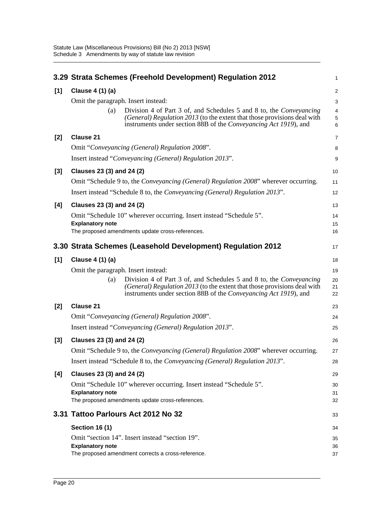|       | 3.29 Strata Schemes (Freehold Development) Regulation 2012                                                                                                                                                                 | 1                                 |
|-------|----------------------------------------------------------------------------------------------------------------------------------------------------------------------------------------------------------------------------|-----------------------------------|
| [1]   | Clause 4 (1) (a)                                                                                                                                                                                                           | $\sqrt{2}$                        |
|       | Omit the paragraph. Insert instead:                                                                                                                                                                                        | 3                                 |
|       | Division 4 of Part 3 of, and Schedules 5 and 8 to, the Conveyancing<br>(a)<br>(General) Regulation 2013 (to the extent that those provisions deal with<br>instruments under section 88B of the Conveyancing Act 1919), and | $\overline{4}$<br>$\sqrt{5}$<br>6 |
| $[2]$ | <b>Clause 21</b>                                                                                                                                                                                                           | $\overline{7}$                    |
|       | Omit "Conveyancing (General) Regulation 2008".                                                                                                                                                                             | 8                                 |
|       | Insert instead "Conveyancing (General) Regulation 2013".                                                                                                                                                                   | 9                                 |
| $[3]$ | Clauses 23 (3) and 24 (2)                                                                                                                                                                                                  | 10                                |
|       | Omit "Schedule 9 to, the Conveyancing (General) Regulation 2008" wherever occurring.                                                                                                                                       | 11                                |
|       | Insert instead "Schedule 8 to, the Conveyancing (General) Regulation 2013".                                                                                                                                                | 12                                |
| [4]   | Clauses 23 (3) and 24 (2)                                                                                                                                                                                                  | 13                                |
|       | Omit "Schedule 10" wherever occurring. Insert instead "Schedule 5".                                                                                                                                                        | 14                                |
|       | <b>Explanatory note</b><br>The proposed amendments update cross-references.                                                                                                                                                | 15<br>16                          |
|       |                                                                                                                                                                                                                            |                                   |
|       | 3.30 Strata Schemes (Leasehold Development) Regulation 2012                                                                                                                                                                | 17                                |
| [1]   | Clause 4 (1) (a)                                                                                                                                                                                                           | 18                                |
|       | Omit the paragraph. Insert instead:                                                                                                                                                                                        | 19                                |
|       | Division 4 of Part 3 of, and Schedules 5 and 8 to, the Conveyancing<br>(a)<br>(General) Regulation 2013 (to the extent that those provisions deal with<br>instruments under section 88B of the Conveyancing Act 1919), and | 20<br>21<br>22                    |
| $[2]$ | <b>Clause 21</b>                                                                                                                                                                                                           | 23                                |
|       | Omit "Conveyancing (General) Regulation 2008".                                                                                                                                                                             | 24                                |
|       | Insert instead "Conveyancing (General) Regulation 2013".                                                                                                                                                                   | 25                                |
| $[3]$ | Clauses 23 (3) and 24 (2)                                                                                                                                                                                                  | 26                                |
|       | Omit "Schedule 9 to, the <i>Conveyancing (General) Regulation 2008</i> " wherever occurring.                                                                                                                               | 27                                |
|       | Insert instead "Schedule 8 to, the Conveyancing (General) Regulation 2013".                                                                                                                                                | 28                                |
| [4]   | Clauses 23 (3) and 24 (2)                                                                                                                                                                                                  | 29                                |
|       | Omit "Schedule 10" wherever occurring. Insert instead "Schedule 5".                                                                                                                                                        | 30                                |
|       | <b>Explanatory note</b><br>The proposed amendments update cross-references.                                                                                                                                                | 31<br>32                          |
|       | 3.31 Tattoo Parlours Act 2012 No 32                                                                                                                                                                                        | 33                                |
|       | <b>Section 16 (1)</b>                                                                                                                                                                                                      |                                   |
|       | Omit "section 14". Insert instead "section 19".                                                                                                                                                                            | 34                                |
|       | <b>Explanatory note</b><br>The proposed amendment corrects a cross-reference.                                                                                                                                              | 35<br>36<br>37                    |
|       |                                                                                                                                                                                                                            |                                   |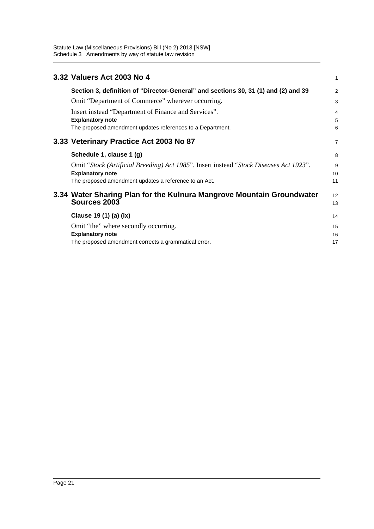| 3.32 Valuers Act 2003 No 4                                                                                                                                                 | 1              |
|----------------------------------------------------------------------------------------------------------------------------------------------------------------------------|----------------|
| Section 3, definition of "Director-General" and sections 30, 31 (1) and (2) and 39                                                                                         | $\overline{2}$ |
| Omit "Department of Commerce" wherever occurring.                                                                                                                          | 3              |
| Insert instead "Department of Finance and Services".<br><b>Explanatory note</b><br>The proposed amendment updates references to a Department.                              | 4<br>5<br>6    |
| 3.33 Veterinary Practice Act 2003 No 87                                                                                                                                    | $\overline{7}$ |
| Schedule 1, clause 1 (g)                                                                                                                                                   | 8              |
| Omit "Stock (Artificial Breeding) Act 1985". Insert instead "Stock Diseases Act 1923".<br><b>Explanatory note</b><br>The proposed amendment updates a reference to an Act. | 9<br>10<br>11  |
| 3.34 Water Sharing Plan for the Kulnura Mangrove Mountain Groundwater<br>Sources 2003                                                                                      | 12<br>13       |
| Clause 19 (1) (a) (ix)                                                                                                                                                     | 14             |
| Omit "the" where secondly occurring.<br><b>Explanatory note</b><br>The proposed amendment corrects a grammatical error.                                                    | 15<br>16<br>17 |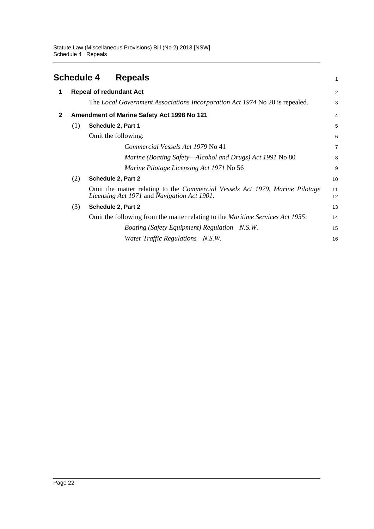<span id="page-25-0"></span>

|              | <b>Schedule 4</b> | <b>Repeals</b>                                                                                                                             | 1              |
|--------------|-------------------|--------------------------------------------------------------------------------------------------------------------------------------------|----------------|
| 1            |                   | <b>Repeal of redundant Act</b>                                                                                                             | $\overline{2}$ |
|              |                   | The Local Government Associations Incorporation Act 1974 No 20 is repealed.                                                                | 3              |
| $\mathbf{2}$ |                   | Amendment of Marine Safety Act 1998 No 121                                                                                                 | $\overline{4}$ |
|              | (1)               | Schedule 2, Part 1                                                                                                                         | 5              |
|              |                   | Omit the following:                                                                                                                        | 6              |
|              |                   | Commercial Vessels Act 1979 No 41                                                                                                          | $\overline{7}$ |
|              |                   | <i>Marine (Boating Safety—Alcohol and Drugs) Act 1991</i> No 80                                                                            | 8              |
|              |                   | Marine Pilotage Licensing Act 1971 No 56                                                                                                   | 9              |
|              | (2)               | Schedule 2, Part 2                                                                                                                         | 10             |
|              |                   | Omit the matter relating to the <i>Commercial Vessels Act 1979</i> , <i>Marine Pilotage</i><br>Licensing Act 1971 and Navigation Act 1901. | 11<br>12       |
|              | (3)               | Schedule 2, Part 2                                                                                                                         | 13             |
|              |                   | Omit the following from the matter relating to the <i>Maritime Services Act 1935</i> :                                                     | 14             |
|              |                   | Boating (Safety Equipment) Regulation–N.S.W.                                                                                               | 15             |
|              |                   | Water Traffic Regulations-N.S.W.                                                                                                           | 16             |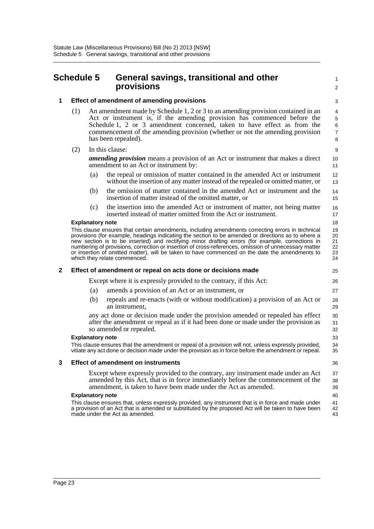### <span id="page-26-0"></span>**Schedule 5 General savings, transitional and other provisions**

1  $\overline{2}$ 

### **1 Effect of amendment of amending provisions**

- (1) An amendment made by Schedule 1, 2 or 3 to an amending provision contained in an Act or instrument is, if the amending provision has commenced before the Schedule 1, 2 or 3 amendment concerned, taken to have effect as from the commencement of the amending provision (whether or not the amending provision has been repealed).
- (2) In this clause:

*amending provision* means a provision of an Act or instrument that makes a direct amendment to an Act or instrument by:

- (a) the repeal or omission of matter contained in the amended Act or instrument without the insertion of any matter instead of the repealed or omitted matter, or
- (b) the omission of matter contained in the amended Act or instrument and the insertion of matter instead of the omitted matter, or
- (c) the insertion into the amended Act or instrument of matter, not being matter inserted instead of matter omitted from the Act or instrument.

#### **Explanatory note**

This clause ensures that certain amendments, including amendments correcting errors in technical provisions (for example, headings indicating the section to be amended or directions as to where a new section is to be inserted) and rectifying minor drafting errors (for example, corrections in numbering of provisions, correction or insertion of cross-references, omission of unnecessary matter or insertion of omitted matter), will be taken to have commenced on the date the amendments to which they relate commenced.

#### **2 Effect of amendment or repeal on acts done or decisions made**

Except where it is expressly provided to the contrary, if this Act:

- (a) amends a provision of an Act or an instrument, or
- (b) repeals and re-enacts (with or without modification) a provision of an Act or an instrument,

any act done or decision made under the provision amended or repealed has effect after the amendment or repeal as if it had been done or made under the provision as so amended or repealed.

#### **Explanatory note**

This clause ensures that the amendment or repeal of a provision will not, unless expressly provided, vitiate any act done or decision made under the provision as in force before the amendment or repeal.

#### **3 Effect of amendment on instruments**

Except where expressly provided to the contrary, any instrument made under an Act amended by this Act, that is in force immediately before the commencement of the amendment, is taken to have been made under the Act as amended.

#### **Explanatory note**

This clause ensures that, unless expressly provided, any instrument that is in force and made under a provision of an Act that is amended or substituted by the proposed Act will be taken to have been made under the Act as amended. 41 42 43